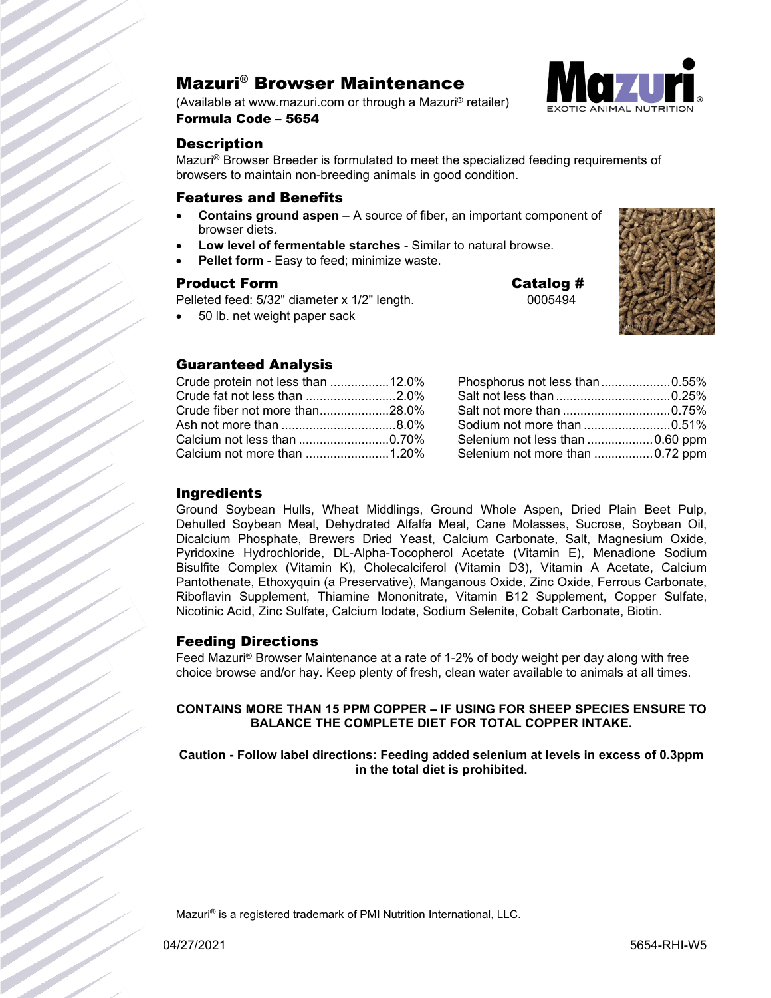### Mazuri® Browser Maintenance

(Available at www.mazuri.com or through a Mazuri® retailer)



Formula Code – 5654

### **Description**

Mazuri® Browser Breeder is formulated to meet the specialized feeding requirements of browsers to maintain non-breeding animals in good condition.

### Features and Benefits

- **Contains ground aspen** A source of fiber, an important component of browser diets.
- **Low level of fermentable starches** Similar to natural browse.
- **Pellet form** Easy to feed; minimize waste.

### Product Form **Catalog #**

Pelleted feed: 5/32" diameter x 1/2" length. 0005494

• 50 lb. net weight paper sack

### Guaranteed Analysis

| Crude protein not less than 12.0% |  |
|-----------------------------------|--|
| Crude fat not less than 2.0%      |  |
| Crude fiber not more than28.0%    |  |
|                                   |  |
|                                   |  |
|                                   |  |

| Phosphorus not less than0.55%   |  |
|---------------------------------|--|
|                                 |  |
|                                 |  |
|                                 |  |
|                                 |  |
| Selenium not more than 0.72 ppm |  |

### **Ingredients**

Ground Soybean Hulls, Wheat Middlings, Ground Whole Aspen, Dried Plain Beet Pulp, Dehulled Soybean Meal, Dehydrated Alfalfa Meal, Cane Molasses, Sucrose, Soybean Oil, Dicalcium Phosphate, Brewers Dried Yeast, Calcium Carbonate, Salt, Magnesium Oxide, Pyridoxine Hydrochloride, DL-Alpha-Tocopherol Acetate (Vitamin E), Menadione Sodium Bisulfite Complex (Vitamin K), Cholecalciferol (Vitamin D3), Vitamin A Acetate, Calcium Pantothenate, Ethoxyquin (a Preservative), Manganous Oxide, Zinc Oxide, Ferrous Carbonate, Riboflavin Supplement, Thiamine Mononitrate, Vitamin B12 Supplement, Copper Sulfate, Nicotinic Acid, Zinc Sulfate, Calcium Iodate, Sodium Selenite, Cobalt Carbonate, Biotin.

### Feeding Directions

Feed Mazuri® Browser Maintenance at a rate of 1-2% of body weight per day along with free choice browse and/or hay. Keep plenty of fresh, clean water available to animals at all times.

### **CONTAINS MORE THAN 15 PPM COPPER – IF USING FOR SHEEP SPECIES ENSURE TO BALANCE THE COMPLETE DIET FOR TOTAL COPPER INTAKE.**

**Caution - Follow label directions: Feeding added selenium at levels in excess of 0.3ppm in the total diet is prohibited.**

Mazuri® is a registered trademark of PMI Nutrition International, LLC.